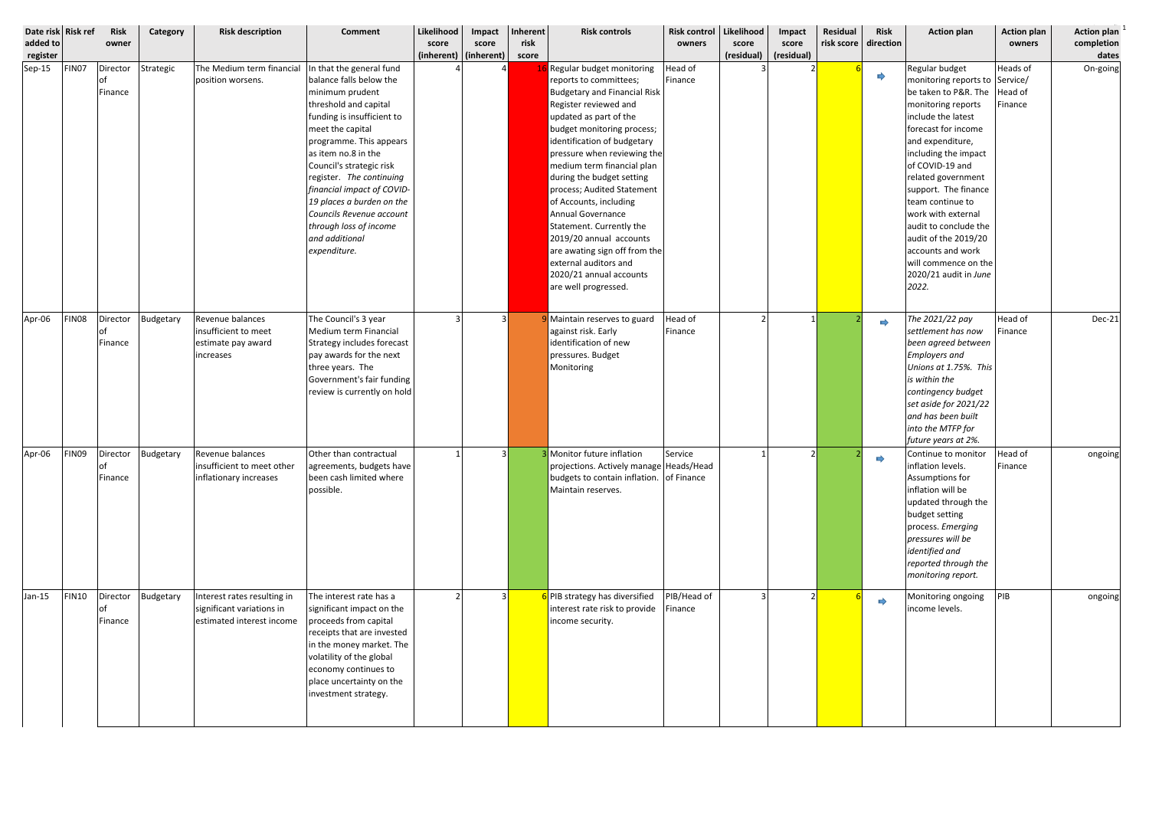| Date risk Risk ref<br>added to<br>register |              | Risk<br>owner              | Category  | <b>Risk description</b>                                                                                          | <b>Comment</b>                                                                                                                                                                                                                                                                                                                                                                                                 | Likelihood<br>score<br>(inherent) (inherent) | Impact<br>score | Inherent<br>risk<br>score | <b>Risk controls</b>                                                                                                                                                                                                                                                                                                                                                                                                                                                                                                                                  | <b>Risk control</b><br>owners | Likelihood<br>score<br>(residual) | Impact<br>score<br>(residual) | Residual<br>risk score | <b>Risk</b><br>direction | <b>Action plan</b>                                                                                                                                                                                                                                                                                                                                                                                                                          | <b>Action plan</b><br>owners | Action plan <sup>1</sup><br>completion<br>dates |
|--------------------------------------------|--------------|----------------------------|-----------|------------------------------------------------------------------------------------------------------------------|----------------------------------------------------------------------------------------------------------------------------------------------------------------------------------------------------------------------------------------------------------------------------------------------------------------------------------------------------------------------------------------------------------------|----------------------------------------------|-----------------|---------------------------|-------------------------------------------------------------------------------------------------------------------------------------------------------------------------------------------------------------------------------------------------------------------------------------------------------------------------------------------------------------------------------------------------------------------------------------------------------------------------------------------------------------------------------------------------------|-------------------------------|-----------------------------------|-------------------------------|------------------------|--------------------------|---------------------------------------------------------------------------------------------------------------------------------------------------------------------------------------------------------------------------------------------------------------------------------------------------------------------------------------------------------------------------------------------------------------------------------------------|------------------------------|-------------------------------------------------|
| $Sep-15$                                   | FIN07        | Director<br>lof<br>Finance | Strategic | The Medium term financial<br>position worsens.                                                                   | In that the general fund<br>balance falls below the<br>minimum prudent<br>threshold and capital<br>funding is insufficient to<br>meet the capital<br>programme. This appears<br>as item no.8 in the<br>Council's strategic risk<br>register. The continuing<br>financial impact of COVID-<br>19 places a burden on the<br>Councils Revenue account<br>through loss of income<br>and additional<br>expenditure. |                                              |                 |                           | Regular budget monitoring<br>reports to committees;<br><b>Budgetary and Financial Risk</b><br>Register reviewed and<br>updated as part of the<br>budget monitoring process;<br>identification of budgetary<br>pressure when reviewing the<br>medium term financial plan<br>during the budget setting<br>process; Audited Statement<br>of Accounts, including<br>Annual Governance<br>Statement. Currently the<br>2019/20 annual accounts<br>are awating sign off from the<br>external auditors and<br>2020/21 annual accounts<br>are well progressed. | Head of<br>Finance            |                                   |                               |                        | $\Rightarrow$            | Regular budget<br>monitoring reports to Service/<br>be taken to P&R. The  Head of<br>monitoring reports<br>include the latest<br>forecast for income<br>and expenditure,<br>including the impact<br>of COVID-19 and<br>related government<br>support. The finance<br>team continue to<br>work with external<br>audit to conclude the<br>audit of the 2019/20<br>accounts and work<br>will commence on the<br>2020/21 audit in June<br>2022. | <b>Heads of</b><br>Finance   | On-going                                        |
| Apr-06                                     | <b>FIN08</b> | Director<br>Finance        | Budgetary | Revenue balances<br>insufficient to meet<br>estimate pay award<br>increases                                      | The Council's 3 year<br>Medium term Financial<br>Strategy includes forecast<br>pay awards for the next<br>three years. The<br>Government's fair funding<br>review is currently on hold                                                                                                                                                                                                                         |                                              | $\mathbf{3}$    |                           | Maintain reserves to guard<br>against risk. Early<br>identification of new<br>pressures. Budget<br>Monitoring                                                                                                                                                                                                                                                                                                                                                                                                                                         | Head of<br>Finance            |                                   |                               |                        | $\Rightarrow$            | The 2021/22 pay<br>settlement has now<br>been agreed between<br><b>Employers and</b><br>Unions at 1.75%. This<br>is within the<br>contingency budget<br>set aside for 2021/22<br>and has been built<br>into the MTFP for<br>future years at 2%.                                                                                                                                                                                             | Head of<br>Finance           | Dec-21                                          |
|                                            |              | <b>of</b><br>Finance       |           | Apr-06   FINO9   Director   Budgetary   Revenue balances<br>insufficient to meet other<br>inflationary increases | Other than contractual<br>agreements, budgets have<br>been cash limited where<br>possible.                                                                                                                                                                                                                                                                                                                     | $\overline{1}$                               | $\mathbf{R}$    |                           | Monitor future inflation<br>projections. Actively manage Heads/Head<br>budgets to contain inflation. of Finance<br>Maintain reserves.                                                                                                                                                                                                                                                                                                                                                                                                                 | Service                       |                                   | $\mathcal{L}$                 |                        |                          | Continue to monitor   Head of<br>inflation levels.<br>Assumptions for<br>inflation will be<br>updated through the<br>budget setting<br>process. Emerging<br>pressures will be<br>identified and<br>reported through the<br>monitoring report.                                                                                                                                                                                               | Finance                      | ongoing                                         |
| $Jan-15$                                   | <b>FIN10</b> | Director<br>of<br>Finance  | Budgetary | Interest rates resulting in<br>significant variations in<br>estimated interest income                            | The interest rate has a<br>significant impact on the<br>proceeds from capital<br>receipts that are invested<br>in the money market. The<br>volatility of the global<br>economy continues to<br>place uncertainty on the<br>investment strategy.                                                                                                                                                                |                                              | $\mathbf{3}$    |                           | 6 PIB strategy has diversified<br>interest rate risk to provide<br>income security.                                                                                                                                                                                                                                                                                                                                                                                                                                                                   | PIB/Head of<br>Finance        |                                   |                               |                        | $\Rightarrow$            | Monitoring ongoing<br>income levels.                                                                                                                                                                                                                                                                                                                                                                                                        | PIB                          | ongoing                                         |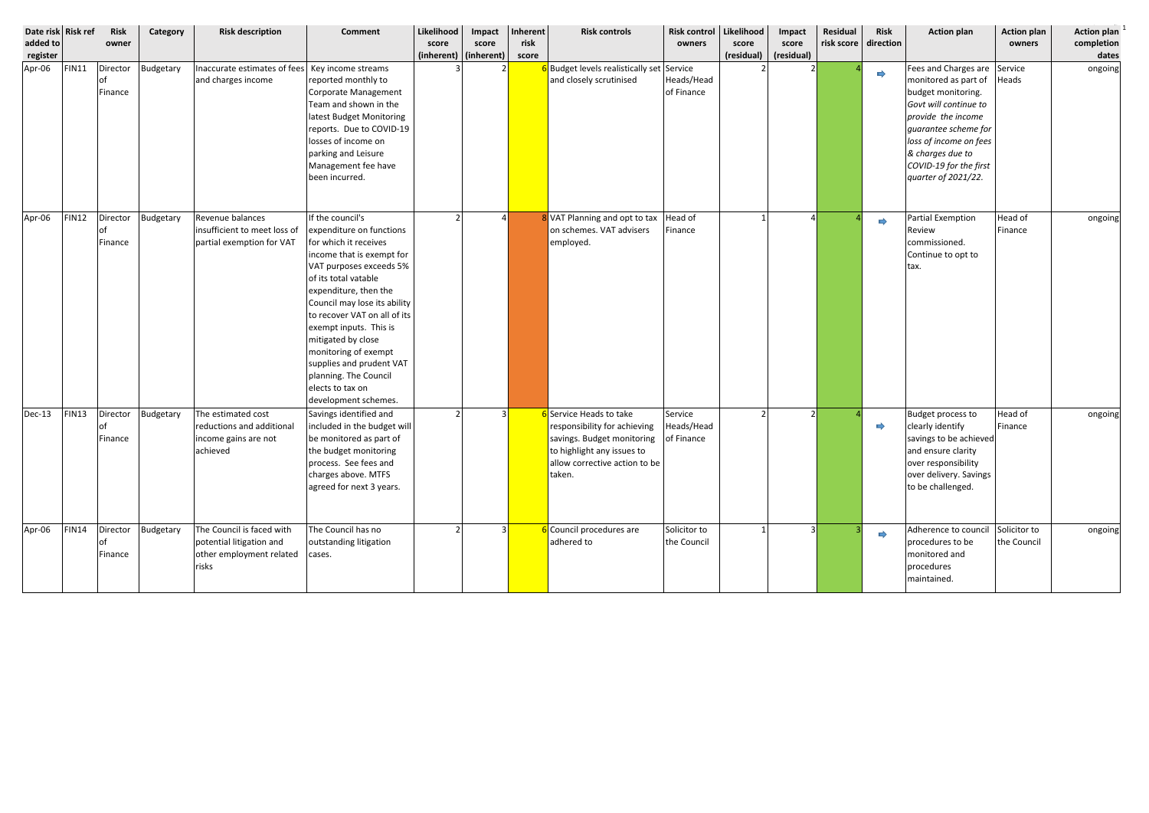| Date risk Risk ref<br>added to<br>register |              | Risk<br>owner             | Category  | <b>Risk description</b>                                                                    | <b>Comment</b>                                                                                                                                                                                                                                                                                                                                                                                                          | Likelihood<br>score | Impact<br>score<br>$(inherent)$ (inherent) | Inherent<br>risk<br>score | <b>Risk controls</b>                                                                                                                                           | <b>Risk control</b><br>owners       | Likelihood<br>score<br>(residual) | Impact<br>score<br>(residual) | Residual<br>risk score | <b>Risk</b><br>direction | <b>Action plan</b>                                                                                                                                                                                                                               | <b>Action plan</b><br>owners | <b>Action plan</b><br>completion<br>dates |
|--------------------------------------------|--------------|---------------------------|-----------|--------------------------------------------------------------------------------------------|-------------------------------------------------------------------------------------------------------------------------------------------------------------------------------------------------------------------------------------------------------------------------------------------------------------------------------------------------------------------------------------------------------------------------|---------------------|--------------------------------------------|---------------------------|----------------------------------------------------------------------------------------------------------------------------------------------------------------|-------------------------------------|-----------------------------------|-------------------------------|------------------------|--------------------------|--------------------------------------------------------------------------------------------------------------------------------------------------------------------------------------------------------------------------------------------------|------------------------------|-------------------------------------------|
| Apr-06                                     | <b>FIN11</b> | Director<br>of<br>Finance | Budgetary | Inaccurate estimates of fees   Key income streams<br>and charges income                    | reported monthly to<br>Corporate Management<br>Team and shown in the<br>latest Budget Monitoring<br>reports. Due to COVID-19<br>losses of income on<br>parking and Leisure<br>Management fee have<br>been incurred.                                                                                                                                                                                                     |                     |                                            |                           | Budget levels realistically set Service<br>and closely scrutinised                                                                                             | Heads/Head<br>of Finance            |                                   |                               |                        | $\Rightarrow$            | Fees and Charges are Service<br>monitored as part of<br>budget monitoring.<br>Govt will continue to<br>provide the income<br>guarantee scheme for<br>loss of income on fees<br>& charges due to<br>COVID-19 for the first<br>quarter of 2021/22. | Heads                        | ongoing                                   |
| Apr-06                                     | <b>FIN12</b> | Director<br>of<br>Finance | Budgetary | Revenue balances<br>insufficient to meet loss of<br>partial exemption for VAT              | If the council's<br>expenditure on functions<br>for which it receives<br>income that is exempt for<br>VAT purposes exceeds 5%<br>of its total vatable<br>expenditure, then the<br>Council may lose its ability<br>to recover VAT on all of its<br>exempt inputs. This is<br>mitigated by close<br>monitoring of exempt<br>supplies and prudent VAT<br>planning. The Council<br>elects to tax on<br>development schemes. |                     |                                            |                           | 8 VAT Planning and opt to tax<br>on schemes. VAT advisers<br>employed.                                                                                         | Head of<br>Finance                  |                                   |                               |                        | $\Rightarrow$            | <b>Partial Exemption</b><br>Review<br>commissioned.<br>Continue to opt to<br>tax.                                                                                                                                                                | Head of<br>Finance           | ongoing                                   |
| $Dec-13$                                   | FIN13        | Director<br>of<br>Finance | Budgetary | The estimated cost<br>reductions and additional<br>income gains are not<br>achieved        | Savings identified and<br>included in the budget will<br>be monitored as part of<br>the budget monitoring<br>process. See fees and<br>charges above. MTFS<br>agreed for next 3 years.                                                                                                                                                                                                                                   |                     |                                            |                           | 6 Service Heads to take<br>responsibility for achieving<br>savings. Budget monitoring<br>to highlight any issues to<br>allow corrective action to be<br>taken. | Service<br>Heads/Head<br>of Finance |                                   |                               |                        | $\Rightarrow$            | Budget process to<br>clearly identify<br>savings to be achieved<br>and ensure clarity<br>over responsibility<br>over delivery. Savings<br>to be challenged.                                                                                      | Head of<br>Finance           | ongoing                                   |
| Apr-06                                     | <b>FIN14</b> | Director<br>of<br>Finance | Budgetary | The Council is faced with<br>potential litigation and<br>other employment related<br>risks | The Council has no<br>outstanding litigation<br>cases.                                                                                                                                                                                                                                                                                                                                                                  |                     |                                            |                           | 6 Council procedures are<br>adhered to                                                                                                                         | Solicitor to<br>the Council         |                                   |                               |                        | $\Rightarrow$            | Adherence to council<br>procedures to be<br>monitored and<br>procedures<br>maintained.                                                                                                                                                           | Solicitor to<br>the Council  | ongoing                                   |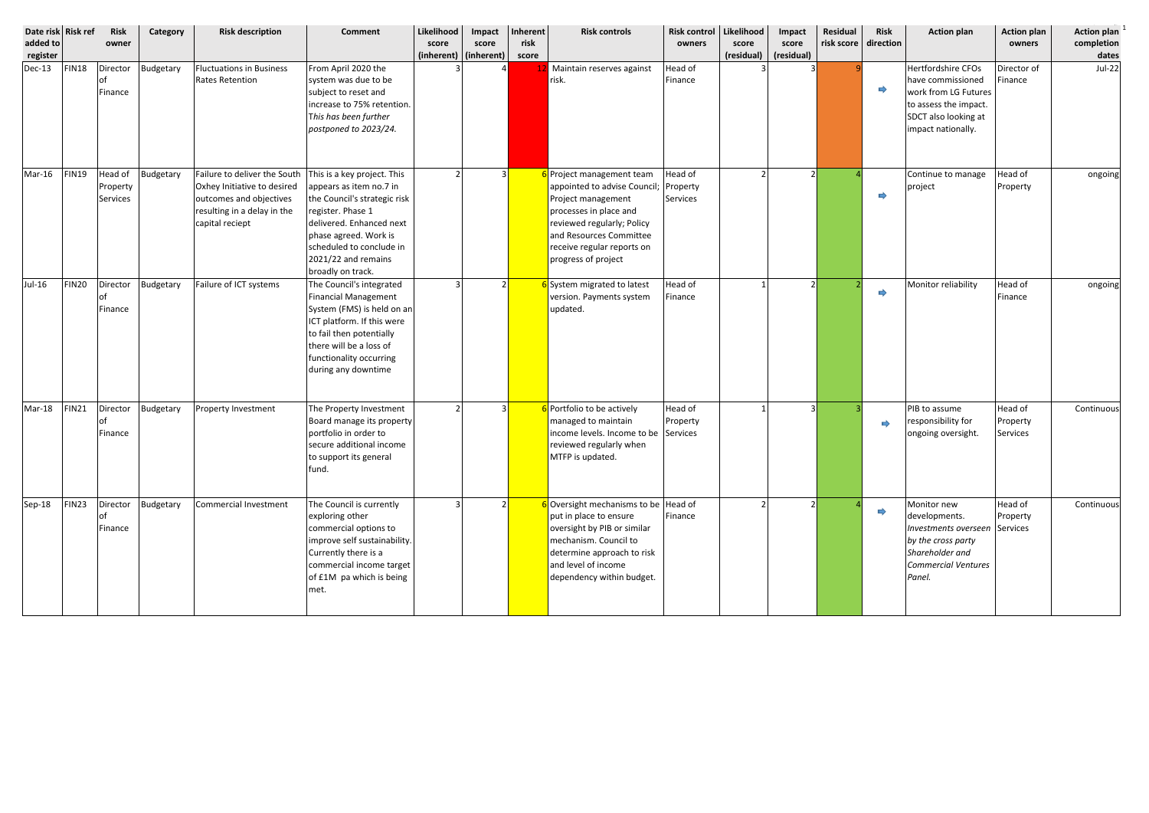| Date risk Risk ref<br>added to<br>register |                   | <b>Risk</b><br>owner            | Category  | <b>Risk description</b>                                                                                                                  | <b>Comment</b>                                                                                                                                                                                                                           | Likelihood<br>score<br>(inherent)   (inherent) | Impact<br>score | Inherent<br>risk<br>score | <b>Risk controls</b>                                                                                                                                                                                                  | <b>Risk control</b><br>owners   | Likelihood<br>score<br>(residual) | Impact<br>score<br>(residual) | Residual<br>risk score direction | <b>Risk</b>   | <b>Action plan</b>                                                                                                                             | <b>Action plan</b><br>owners    | Action plan<br>completion<br>dates |
|--------------------------------------------|-------------------|---------------------------------|-----------|------------------------------------------------------------------------------------------------------------------------------------------|------------------------------------------------------------------------------------------------------------------------------------------------------------------------------------------------------------------------------------------|------------------------------------------------|-----------------|---------------------------|-----------------------------------------------------------------------------------------------------------------------------------------------------------------------------------------------------------------------|---------------------------------|-----------------------------------|-------------------------------|----------------------------------|---------------|------------------------------------------------------------------------------------------------------------------------------------------------|---------------------------------|------------------------------------|
| $Dec-13$                                   | <b>FIN18</b>      | Director<br>0f<br>Finance       | Budgetary | <b>Fluctuations in Business</b><br><b>Rates Retention</b>                                                                                | From April 2020 the<br>system was due to be<br>subject to reset and<br>increase to 75% retention.<br>This has been further<br>postponed to 2023/24.                                                                                      |                                                |                 |                           | Maintain reserves against<br>risk.                                                                                                                                                                                    | Head of<br>Finance              |                                   |                               |                                  | E             | Hertfordshire CFOs<br>have commissioned<br>work from LG Futures<br>to assess the impact.<br>SDCT also looking at<br>impact nationally.         | Director of<br>Finance          | <b>Jul-22</b>                      |
| Mar-16                                     | <b>FIN19</b>      | Head of<br>Property<br>Services | Budgetary | Failure to deliver the South<br>Oxhey Initiative to desired<br>outcomes and objectives<br>resulting in a delay in the<br>capital reciept | This is a key project. This<br>appears as item no.7 in<br>the Council's strategic risk<br>register. Phase 1<br>delivered. Enhanced next<br>phase agreed. Work is<br>scheduled to conclude in<br>2021/22 and remains<br>broadly on track. |                                                |                 |                           | Project management team<br>appointed to advise Council;<br>Project management<br>processes in place and<br>reviewed regularly; Policy<br>and Resources Committee<br>receive regular reports on<br>progress of project | Head of<br>Property<br>Services |                                   | $\mathcal{L}$                 |                                  | $\Rightarrow$ | Continue to manage<br>project                                                                                                                  | Head of<br>Property             | ongoing                            |
| Jul-16                                     | FIN <sub>20</sub> | Director<br>of<br>Finance       | Budgetary | Failure of ICT systems                                                                                                                   | The Council's integrated<br><b>Financial Management</b><br>System (FMS) is held on an<br>ICT platform. If this were<br>to fail then potentially<br>there will be a loss of<br>functionality occurring<br>during any downtime             |                                                |                 |                           | <b>S</b> System migrated to latest<br>version. Payments system<br>updated.                                                                                                                                            | Head of<br>Finance              |                                   |                               |                                  | $\Rightarrow$ | Monitor reliability                                                                                                                            | Head of<br>Finance              | ongoing                            |
| Mar-18                                     | <b>FIN21</b>      | Director<br>оt<br>Finance       | Budgetary | Property Investment                                                                                                                      | The Property Investment<br>Board manage its property<br>portfolio in order to<br>secure additional income<br>to support its general<br>fund.                                                                                             |                                                |                 |                           | Portfolio to be actively<br>managed to maintain<br>income levels. Income to be Services<br>reviewed regularly when<br>MTFP is updated.                                                                                | Head of<br>Property             |                                   |                               |                                  |               | PIB to assume<br>responsibility for<br>ongoing oversight.                                                                                      | Head of<br>Property<br>Services | Continuous                         |
| Sep-18                                     | FIN <sub>23</sub> | Director<br>lof<br>Finance      | Budgetary | Commercial Investment                                                                                                                    | The Council is currently<br>exploring other<br>commercial options to<br>improve self sustainability.<br>Currently there is a<br>commercial income target<br>of £1M pa which is being<br>met.                                             |                                                |                 |                           | Oversight mechanisms to be Head of<br>put in place to ensure<br>oversight by PIB or similar<br>mechanism. Council to<br>determine approach to risk<br>and level of income<br>dependency within budget.                | Finance                         |                                   |                               |                                  | $\Rightarrow$ | Monitor new<br>developments.<br>Investments overseen Services<br>by the cross party<br>Shareholder and<br><b>Commercial Ventures</b><br>Panel. | Head of<br>Property             | Continuous                         |